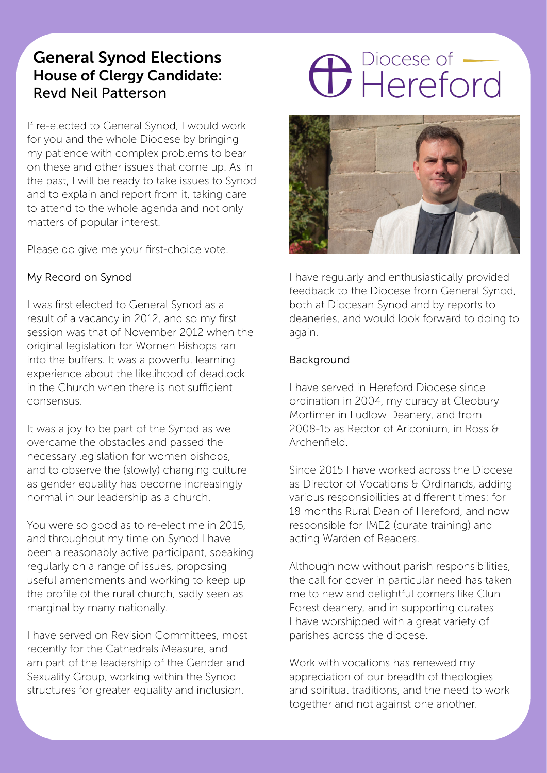# General Synod Elections House of Clergy Candidate: Revd Neil Patterson

If re-elected to General Synod, I would work for you and the whole Diocese by bringing my patience with complex problems to bear on these and other issues that come up. As in the past, I will be ready to take issues to Synod and to explain and report from it, taking care to attend to the whole agenda and not only matters of popular interest.

Please do give me your first-choice vote.

#### My Record on Synod

I was first elected to General Synod as a result of a vacancy in 2012, and so my first session was that of November 2012 when the original legislation for Women Bishops ran into the buffers. It was a powerful learning experience about the likelihood of deadlock in the Church when there is not sufficient consensus.

It was a joy to be part of the Synod as we overcame the obstacles and passed the necessary legislation for women bishops, and to observe the (slowly) changing culture as gender equality has become increasingly normal in our leadership as a church.

You were so good as to re-elect me in 2015, and throughout my time on Synod I have been a reasonably active participant, speaking regularly on a range of issues, proposing useful amendments and working to keep up the profile of the rural church, sadly seen as marginal by many nationally.

I have served on Revision Committees, most recently for the Cathedrals Measure, and am part of the leadership of the Gender and Sexuality Group, working within the Synod structures for greater equality and inclusion.

# **C** Piocese of



I have regularly and enthusiastically provided feedback to the Diocese from General Synod, both at Diocesan Synod and by reports to deaneries, and would look forward to doing to again.

#### Background

I have served in Hereford Diocese since ordination in 2004, my curacy at Cleobury Mortimer in Ludlow Deanery, and from 2008-15 as Rector of Ariconium, in Ross & Archenfield.

Since 2015 I have worked across the Diocese as Director of Vocations & Ordinands, adding various responsibilities at different times: for 18 months Rural Dean of Hereford, and now responsible for IME2 (curate training) and acting Warden of Readers.

Although now without parish responsibilities, the call for cover in particular need has taken me to new and delightful corners like Clun Forest deanery, and in supporting curates I have worshipped with a great variety of parishes across the diocese.

Work with vocations has renewed my appreciation of our breadth of theologies and spiritual traditions, and the need to work together and not against one another.